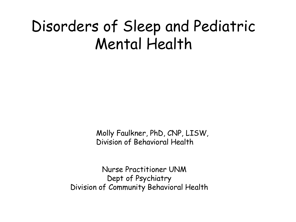#### Disorders of Sleep and Pediatric Mental Health

Molly Faulkner, PhD, CNP, LISW, Division of Behavioral Health

Nurse Practitioner UNM Dept of Psychiatry Division of Community Behavioral Health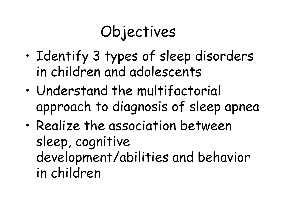# Objectives

- Identify 3 types of sleep disorders in children and adolescents
- Understand the multifactorial approach to diagnosis of sleep apnea
- Realize the association between sleep, cognitive development/abilities and behavior in children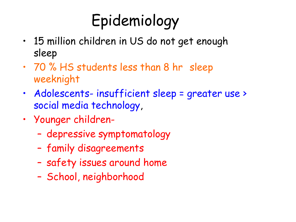# Epidemiology

- 15 million children in US do not get enough sleep
- 70 % HS students less than 8 hr sleep weeknight
- Adolescents- insufficient sleep = greater use > social media technology,
- Younger children-
	- depressive symptomatology
	- family disagreements
	- safety issues around home
	- School, neighborhood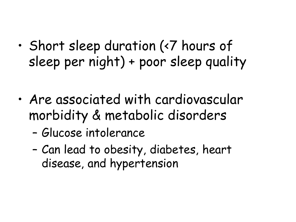- Short sleep duration (<7 hours of sleep per night) + poor sleep quality
- Are associated with cardiovascular morbidity & metabolic disorders
	- Glucose intolerance
	- Can lead to obesity, diabetes, heart disease, and hypertension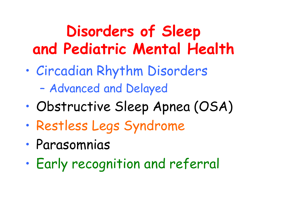## **Disorders of Sleep and Pediatric Mental Health**

- Circadian Rhythm Disorders – Advanced and Delayed
- Obstructive Sleep Apnea (OSA)
- Restless Legs Syndrome
- Parasomnias
- Early recognition and referral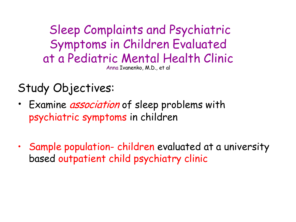Sleep Complaints and Psychiatric Symptoms in Children Evaluated at a Pediatric Mental Health Clinic Anna Ivanenko, M.D., et al

Study Objectives:

- Examine *association* of sleep problems with psychiatric symptoms in children
- Sample population- children evaluated at a university based outpatient child psychiatry clinic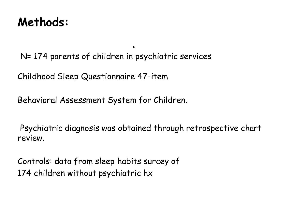#### **Methods:**

. N= 174 parents of children in psychiatric services

Childhood Sleep Questionnaire 47-item

Behavioral Assessment System for Children.

Psychiatric diagnosis was obtained through retrospective chart review.

Controls: data from sleep habits surcey of 174 children without psychiatric hx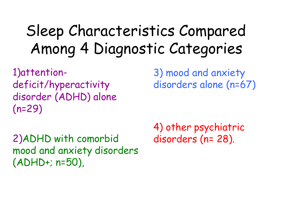#### Sleep Characteristics Compared Among 4 Diagnostic Categories

1)attentiondeficit/hyperactivity disorder (ADHD) alone (n=29)

2)ADHD with comorbid mood and anxiety disorders (ADHD+; n=50),

3) mood and anxiety disorders alone (n=67)

4) other psychiatric disorders (n= 28).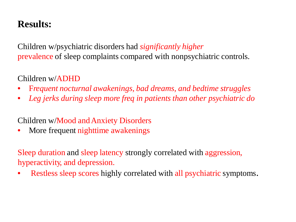#### **Results:**

Children w/psychiatric disorders had *significantly higher* prevalence of sleep complaints compared with nonpsychiatric controls.

#### Children w/ADHD

- F*requent nocturnal awakenings, bad dreams, and bedtime struggles*
- *Leg jerks during sleep more freq in patients than other psychiatric do*

#### Children w/Mood andAnxiety Disorders

More frequent nighttime awakenings

Sleep duration and sleep latency strongly correlated with aggression, hyperactivity, and depression.

Restless sleep scores highly correlated with all psychiatric symptoms.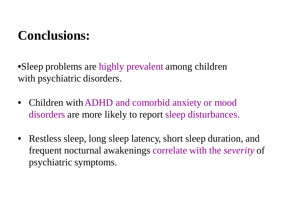#### **Conclusions:**

•Sleep problems are highly prevalent among children with psychiatric disorders.

- Children with ADHD and comorbid anxiety or mood disorders are more likely to report sleep disturbances.
- Restless sleep, long sleep latency, short sleep duration, and frequent nocturnal awakenings correlate with the *severity* of psychiatric symptoms.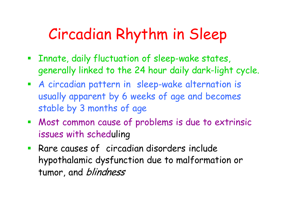#### Circadian Rhythm in Sleep

- **Example 2 Innate, daily fluctuation of sleep-wake states,** generally linked to the 24 hour daily dark-light cycle.
- A circadian pattern in sleep-wake alternation is usually apparent by 6 weeks of age and becomes stable by 3 months of age
- Most common cause of problems is due to extrinsic issues with scheduling
- Rare causes of circadian disorders include hypothalamic dysfunction due to malformation or tumor, and *blindness*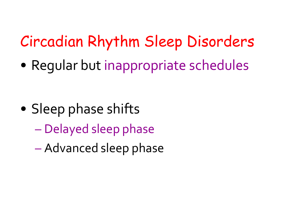## Circadian Rhythm Sleep Disorders

• Regular but inappropriate schedules

- Sleep phase shifts
	- Delayed sleep phase
	- Advanced sleep phase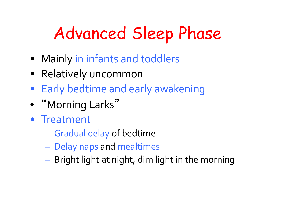# Advanced Sleep Phase

- Mainly in infants and toddlers
- Relatively uncommon
- Early bedtime and early awakening
- "Morning Larks"
- Treatment
	- Gradual delay of bedtime
	- Delay naps and mealtimes
	- Bright light at night, dim light in the morning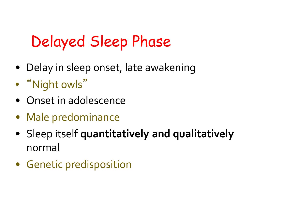## Delayed Sleep Phase

- Delay in sleep onset, late awakening
- "Night owls "
- Onset in adolescence
- Male predominance
- Sleep itself **quantitatively and qualitatively** normal
- Genetic predisposition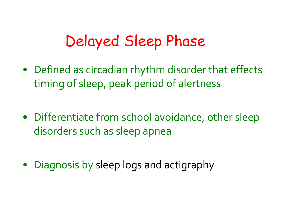#### Delayed Sleep Phase

- Defined as circadian rhythm disorder that effects timing of sleep, peak period of alertness
- Differentiate from school avoidance, other sleep disorders such as sleep apnea
- Diagnosis by sleep logs and actigraphy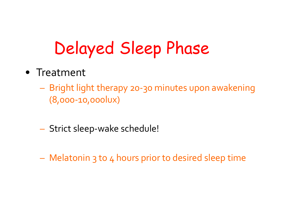# Delayed Sleep Phase

- Treatment
	- Bright light therapy 20-30 minutes upon awakening (8,000-10,000lux)
	- Strict sleep-wake schedule!
	- Melatonin 3 to 4 hours prior to desired sleep time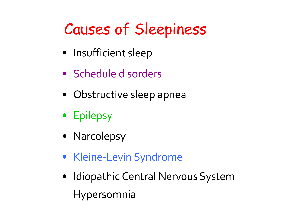## Causes of Sleepiness

- Insufficient sleep
- Schedule disorders
- Obstructive sleep apnea
- Epilepsy
- Narcolepsy
- Kleine-Levin Syndrome
- Idiopathic Central Nervous System Hypersomnia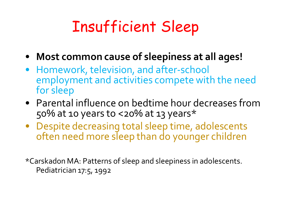### Insufficient Sleep

- **Most common cause of sleepiness at all ages!**
- Homework, television, and after-school employment and activities compete with the need for sleep
- Parental influence on bedtime hour decreases from  $50\%$  at 10 years to <20% at 13 years\*
- Despite decreasing total sleep time, adolescents often need more sleep than do younger children

\*Carskadon MA: Patterns of sleep and sleepiness in adolescents. Pediatrician 17:5, 1992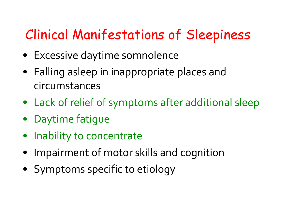#### Clinical Manifestations of Sleepiness

- Excessive daytime somnolence
- Falling asleep in inappropriate places and circumstances
- Lack of relief of symptoms after additional sleep
- Daytime fatigue
- Inability to concentrate
- Impairment of motor skills and cognition
- Symptoms specific to etiology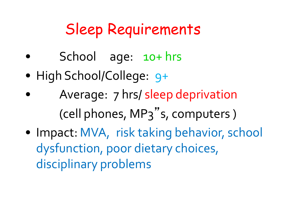#### Sleep Requirements

- School age: 10+ hrs
- High School/College: 9+
- Average: 7 hrs/ sleep deprivation (cell phones, MP3" s, computers )
- Impact: MVA, risk taking behavior, school dysfunction, poor dietary choices, disciplinary problems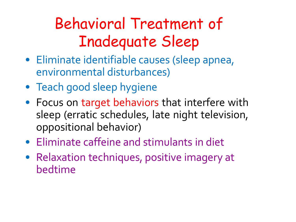## Behavioral Treatment of Inadequate Sleep

- Eliminate identifiable causes (sleep apnea, environmental disturbances)
- Teach good sleep hygiene
- Focus on target behaviors that interfere with sleep (erratic schedules, late night television, oppositional behavior)
- Eliminate caffeine and stimulants in diet
- Relaxation techniques, positive imagery at bedtime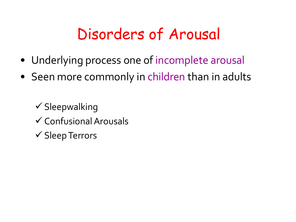#### Disorders of Arousal

- Underlying process one of incomplete arousal
- Seen more commonly in children than in adults

 $\checkmark$  Sleepwalking  $\checkmark$  Confusional Arousals  $\checkmark$  Sleep Terrors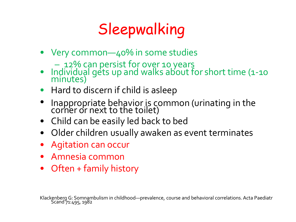# Sleepwalking

- Very common—40% in some studies
	- 12% can persist for over 10 years
- Individual gets up and walks about for short time (1-10 minutes)
- Hard to discern if child is asleep
- Inappropriate behavior is common (urinating in the corner or next to the toilet)
- Child can be easily led back to bed
- Older children usually awaken as event terminates
- Agitation can occur
- Amnesia common
- Often + family history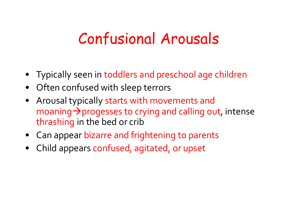#### Confusional Arousals

- Typically seen in toddlers and preschool age children
- Often confused with sleep terrors
- Arousal typically starts with movements and moaning  $\rightarrow$  progesses to crying and calling out, intense thrashing in the bed or crib
- Can appear bizarre and frightening to parents
- Child appears confused, agitated, or upset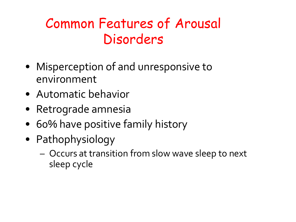#### Common Features of Arousal Disorders

- Misperception of and unresponsive to environment
- Automatic behavior
- Retrograde amnesia
- 60% have positive family history
- Pathophysiology
	- Occurs at transition from slow wave sleep to next sleep cycle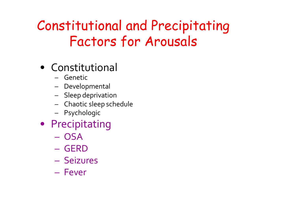#### Constitutional and Precipitating Factors for Arousals

- Constitutional
	- Genetic
	- Developmental
	- Sleep deprivation
	- Chaotic sleep schedule
	- Psychologic
- Precipitating
	- OSA
	- GERD
	- Seizures
	- Fever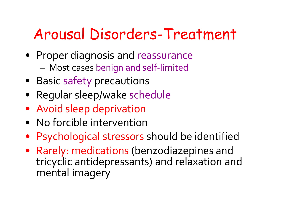#### Arousal Disorders-Treatment

- Proper diagnosis and reassurance – Most cases benign and self-limited
- Basic safety precautions
- Regular sleep/wake schedule
- Avoid sleep deprivation
- No forcible intervention
- Psychological stressors should be identified
- Rarely: medications (benzodiazepines and tricyclic antidepressants) and relaxation and mental imagery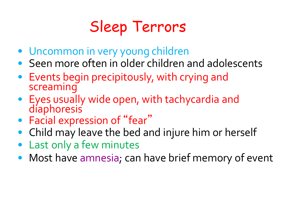## Sleep Terrors

- Uncommon in very young children
- Seen more often in older children and adolescents
- Events begin precipitously, with crying and screaming
- Eyes usually wide open, with tachycardia and diaphoresis
- Facial expression of "fear"
- Child may leave the bed and injure him or herself
- Last only a few minutes
- Most have amnesia; can have brief memory of event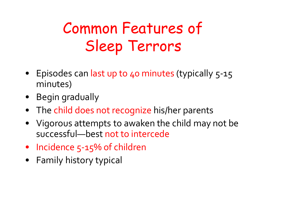## Common Features of Sleep Terrors

- Episodes can last up to 40 minutes (typically 5-15 minutes)
- Begin gradually
- The child does not recognize his/her parents
- Vigorous attempts to awaken the child may not be successful—best not to intercede
- Incidence 5-15% of children
- Family history typical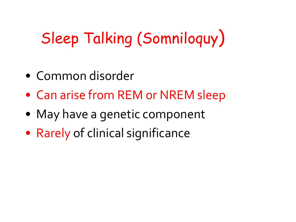# Sleep Talking (Somniloquy)

- Common disorder
- Can arise from REM or NREM sleep
- May have a genetic component
- Rarely of clinical significance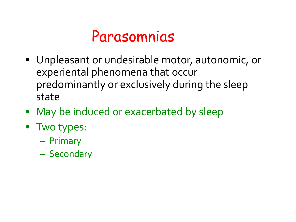#### Parasomnias

- Unpleasant or undesirable motor, autonomic, or experiental phenomena that occur predominantly or exclusively during the sleep state
- May be induced or exacerbated by sleep
- Two types:
	- Primary
	- Secondary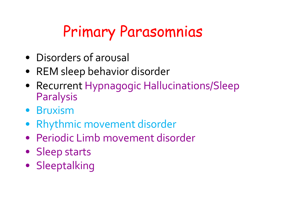## Primary Parasomnias

- Disorders of arousal
- REM sleep behavior disorder
- Recurrent Hypnagogic Hallucinations/Sleep Paralysis
- Bruxism
- Rhythmic movement disorder
- Periodic Limb movement disorder
- Sleep starts
- Sleeptalking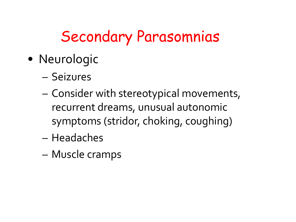#### Secondary Parasomnias

- Neurologic
	- Seizures
	- Consider with stereotypical movements, recurrent dreams, unusual autonomic symptoms (stridor, choking, coughing)
	- Headaches
	- Muscle cramps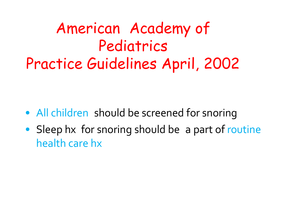#### American Academy of Pediatrics Practice Guidelines April, 2002

- All children should be screened for snoring
- Sleep hx for snoring should be a part of routine health care hx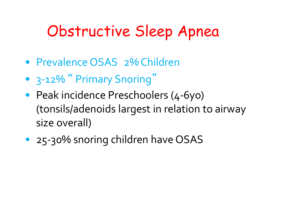#### Obstructive Sleep Apnea

- Prevalence OSAS 2% Children
- 3-12% "Primary Snoring"
- Peak incidence Preschoolers (4-6yo) (tonsils/adenoids largest in relation to airway size overall)
- 25-30% snoring children have OSAS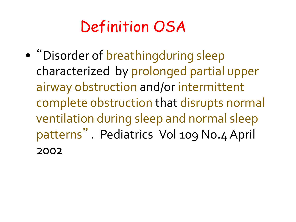#### Definition OSA

• "Disorder of breathingduring sleep characterized by prolonged partial upper airway obstruction and/or intermittent complete obstruction that disrupts normal ventilation during sleep and normal sleep patterns " . Pediatrics Vol 109 No.4April 2002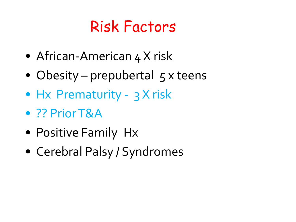### Risk Factors

- African-American 4 X risk
- Obesity prepubertal  $5 \times$  teens
- Hx Prematurity 3 X risk
- ?? PriorT&A
- Positive Family Hx
- Cerebral Palsy / Syndromes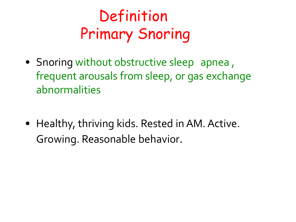## Definition Primary Snoring

- Snoring without obstructive sleep apnea, frequent arousals from sleep, or gas exchange abnormalities
- Healthy, thriving kids. Rested in AM. Active. Growing. Reasonable behavior.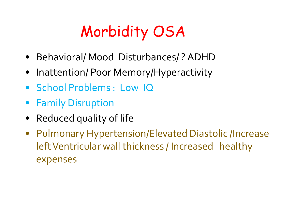## Morbidity OSA

- Behavioral/ Mood Disturbances/ ? ADHD
- Inattention/ Poor Memory/Hyperactivity
- School Problems: Low IQ
- Family Disruption
- Reduced quality of life
- Pulmonary Hypertension/Elevated Diastolic /Increase left Ventricular wall thickness / Increased healthy expenses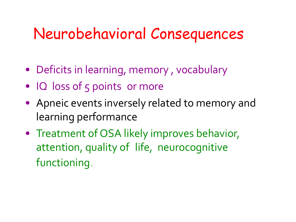### Neurobehavioral Consequences

- Deficits in learning, memory, vocabulary
- IQ loss of 5 points or more
- Apneic events inversely related to memory and learning performance
- Treatment of OSA likely improves behavior, attention, quality of life, neurocognitive functioning.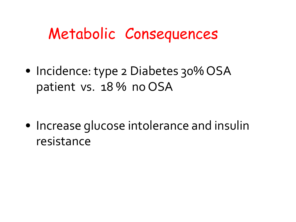### Metabolic Consequences

• Incidence: type 2 Diabetes 30% OSA patient vs. 18 % no OSA

• Increase glucose intolerance and insulin resistance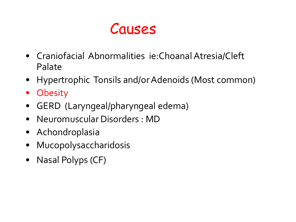#### Causes

- Craniofacial Abnormalities ie: Choanal Atresia/Cleft Palate
- Hypertrophic Tonsils and/or Adenoids (Most common)
- Obesity
- GERD (Laryngeal/pharyngeal edema)
- Neuromuscular Disorders : MD
- Achondroplasia
- Mucopolysaccharidosis
- Nasal Polyps (CF)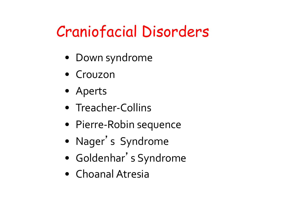### Craniofacial Disorders

- Down syndrome
- Crouzon
- Aperts
- Treacher-Collins
- Pierre-Robin sequence
- Nager ' s Syndrome
- Goldenhar ' s Syndrome
- Choanal Atresia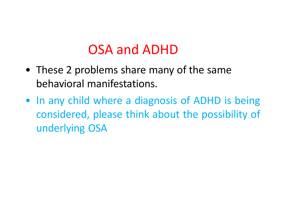#### OSA and ADHD

- These 2 problems share many of the same behavioral manifestations.
- In any child where a diagnosis of ADHD is being considered, please think about the possibility of underlying OSA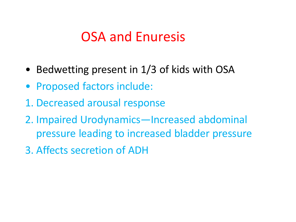#### OSA and Enuresis

- Bedwetting present in 1/3 of kids with OSA
- Proposed factors include:
- 1. Decreased arousal response
- 2. Impaired Urodynamics—Increased abdominal pressure leading to increased bladder pressure
- 3. Affects secretion of ADH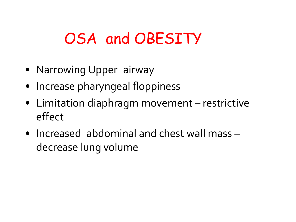### OSA and OBESITY

- Narrowing Upper airway
- Increase pharyngeal floppiness
- Limitation diaphragm movement restrictive effect
- Increased abdominal and chest wall mass decrease lung volume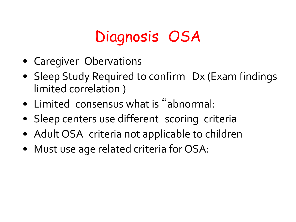### Diagnosis OSA

- Caregiver Obervations
- Sleep Study Required to confirm Dx (Exam findings limited correlation )
- Limited consensus what is " abnormal:
- Sleep centers use different scoring criteria
- Adult OSA criteria not applicable to children
- Must use age related criteria for OSA: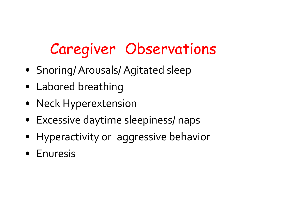## Caregiver Observations

- Snoring/Arousals/ Agitated sleep
- Labored breathing
- Neck Hyperextension
- Excessive daytime sleepiness/ naps
- Hyperactivity or aggressive behavior
- Enuresis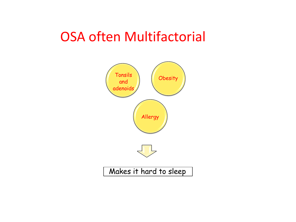#### OSA often Multifactorial

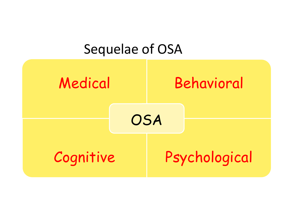#### Sequelae of OSA

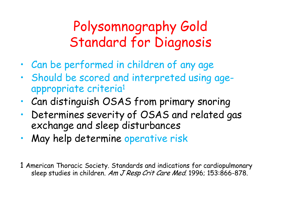#### Polysomnography Gold Standard for Diagnosis

- Can be performed in children of any age
- Should be scored and interpreted using ageappropriate criteria1
- Can distinguish OSAS from primary snoring
- Determines severity of OSAS and related gas exchange and sleep disturbances
- May help determine operative risk
- 1 American Thoracic Society. Standards and indications for cardiopulmonary sleep studies in children. Am J Resp Crit Care Med. 1996; 153:866-878.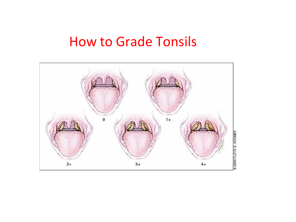#### How to Grade Tonsils

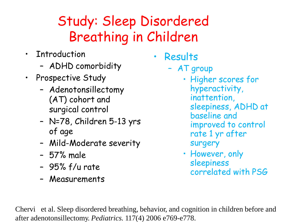#### Study: Sleep Disordered Breathing in Children

- Introduction
	- ADHD comorbidity
- Prospective Study
	- Adenotonsillectomy (AT) cohort and surgical control
	- N=78, Children 5-13 yrs of age
	- Mild-Moderate severity
	- 57% male
	- 95% f/u rate
	- Measurements

• Results

- AT group
	- Higher scores for hyperactivity, inattention, sleepiness, ADHD at baseline and improved to control rate 1 yr after surgery
	- However, only sleepiness correlated with PSG

Chervi et al. Sleep disordered breathing, behavior, and cognition in children before and after adenotonsillectomy. *Pediatrics.* 117(4) 2006 e769-e778.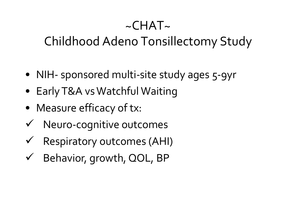#### $\sim$ CHAT $\sim$

#### Childhood Adeno Tonsillectomy Study

- NIH- sponsored multi-site study ages 5-9yr
- Early T&A vs Watchful Waiting
- Measure efficacy of tx:
- $\checkmark$  Neuro-cognitive outcomes
- $\checkmark$  Respiratory outcomes (AHI)
- $\checkmark$  Behavior, growth, QOL, BP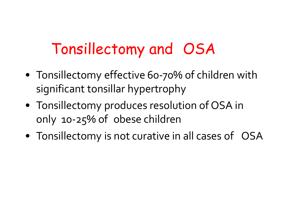### Tonsillectomy and OSA

- Tonsillectomy effective 60-70% of children with significant tonsillar hypertrophy
- Tonsillectomy produces resolution of OSA in only 10-25% of obese children
- Tonsillectomy is not curative in all cases of OSA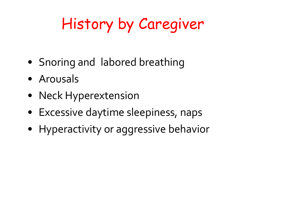## History by Caregiver

- Snoring and labored breathing
- Arousals
- Neck Hyperextension
- Excessive daytime sleepiness, naps
- Hyperactivity or aggressive behavior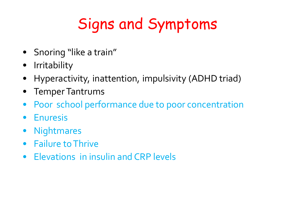## Signs and Symptoms

- Snoring "like a train"
- Irritability
- Hyperactivity, inattention, impulsivity (ADHD triad)
- TemperTantrums
- Poor school performance due to poor concentration
- Enuresis
- Nightmares
- Failure to Thrive
- Elevations in insulin and CRP levels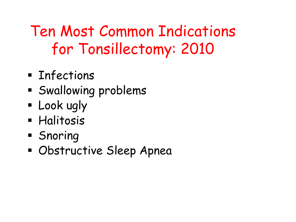## Ten Most Common Indications for Tonsillectomy: 2010

- **Enfections**
- **Swallowing problems**
- **E** Look ugly
- **Halitosis**
- **Snoring**
- Obstructive Sleep Apnea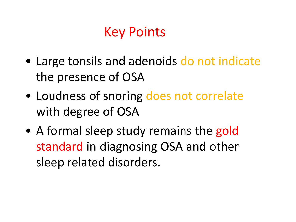#### Key Points

- Large tonsils and adenoids do not indicate the presence of OSA
- Loudness of snoring does not correlate with degree of OSA
- A formal sleep study remains the gold standard in diagnosing OSA and other sleep related disorders.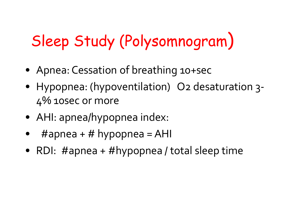# Sleep Study (Polysomnogram)

- Apnea: Cessation of breathing 10+sec
- Hypopnea: (hypoventilation) O2 desaturation 3- 4% 10sec or more
- AHI: apnea/hypopnea index:
- $\#$ apnea +  $\#$  hypopnea = AHI
- RDI: #apnea + #hypopnea / total sleep time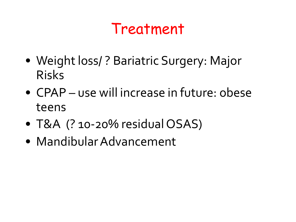#### Treatment

- Weight loss/ ? Bariatric Surgery: Major Risks
- CPAP use will increase in future: obese teens
- T&A (? 10-20% residual OSAS)
- MandibularAdvancement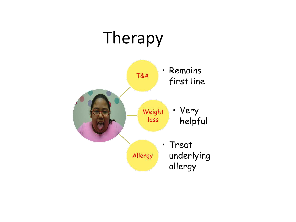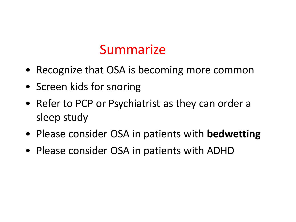#### Summarize

- Recognize that OSA is becoming more common
- Screen kids for snoring
- Refer to PCP or Psychiatrist as they can order a sleep study
- Please consider OSA in patients with **bedwetting**
- Please consider OSA in patients with ADHD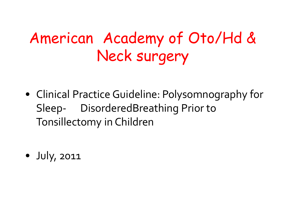## American Academy of Oto/Hd & Neck surgery

• Clinical Practice Guideline: Polysomnography for Sleep- DisorderedBreathing Prior to Tonsillectomy in Children

• July, 2011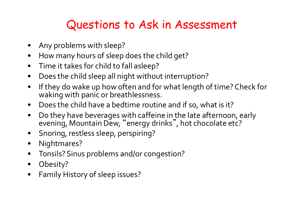#### Questions to Ask in Assessment

- Any problems with sleep?
- How many hours of sleep does the child get?
- Time it takes for child to fall asleep?
- Does the child sleep all night without interruption?
- If they do wake up how often and for what length of time? Check for waking with panic or breathlessness.
- Does the child have a bedtime routine and if so, what is it?
- Do they have beverages with caffeine in the late afternoon, early evening, Mountain Dew, "energy drinks", hot chocolate etc?
- Snoring, restless sleep, perspiring?
- Nightmares?
- Tonsils? Sinus problems and/or congestion?
- Obesity?
- Family History of sleep issues?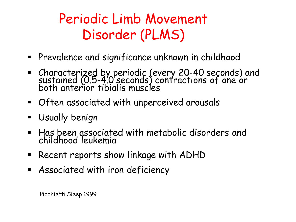#### Periodic Limb Movement Disorder (PLMS)

- Prevalence and significance unknown in childhood
- Characterized by periodic (every 20-40 seconds) and sustained (0.5-4.0 seconds) contractions of one or both anterior tibialis muscles
- Often associated with unperceived arousals
- Usually benign
- Has been associated with metabolic disorders and childhood leukemia
- **Recent reports show linkage with ADHD**
- Associated with iron deficiency

Picchietti Sleep 1999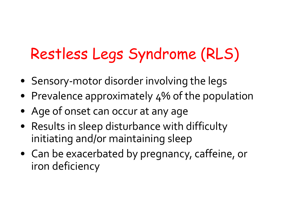## Restless Legs Syndrome (RLS)

- Sensory-motor disorder involving the legs
- Prevalence approximately 4% of the population
- Age of onset can occur at any age
- Results in sleep disturbance with difficulty initiating and/or maintaining sleep
- Can be exacerbated by pregnancy, caffeine, or iron deficiency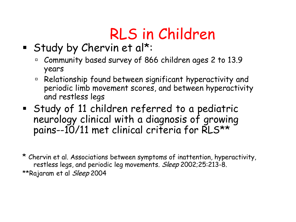# RLS in Children

- Study by Chervin et al\*:
	- Community based survey of 866 children ages 2 to 13.9 years
	- Relationship found between significant hyperactivity and periodic limb movement scores, and between hyperactivity and restless legs
- Study of 11 children referred to a pediatric neurology clinical with a diagnosis of growing pains--10/11 met clinical criteria for RLS\*\*

\* Chervin et al. Associations between symptoms of inattention, hyperactivity, restless legs, and periodic leg movements. Sleep 2002;25:213-8. \*\*Rajaram et al Sleep 2004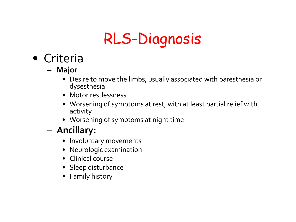## RLS-Diagnosis

- Criteria
	- **Major**
		- Desire to move the limbs, usually associated with paresthesia or dysesthesia
		- Motor restlessness
		- Worsening of symptoms at rest, with at least partial relief with activity
		- Worsening of symptoms at night time

#### – **Ancillary:**

- Involuntary movements
- Neurologic examination
- Clinical course
- Sleep disturbance
- Family history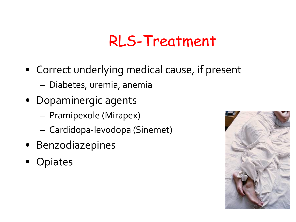### RLS-Treatment

- Correct underlying medical cause, if present – Diabetes, uremia, anemia
- Dopaminergic agents
	- Pramipexole (Mirapex)
	- Cardidopa-levodopa (Sinemet)
- Benzodiazepines
- Opiates

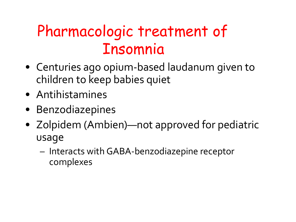### Pharmacologic treatment of Insomnia

- Centuries ago opium-based laudanum given to children to keep babies quiet
- Antihistamines
- Benzodiazepines
- Zolpidem (Ambien)—not approved for pediatric usage
	- Interacts with GABA-benzodiazepine receptor complexes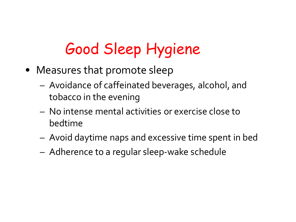## Good Sleep Hygiene

- Measures that promote sleep
	- Avoidance of caffeinated beverages, alcohol, and tobacco in the evening
	- No intense mental activities or exercise close to bedtime
	- Avoid daytime naps and excessive time spent in bed
	- Adherence to a regular sleep-wake schedule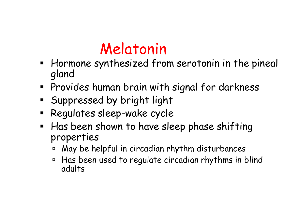### Melatonin

- **Hormone synthesized from serotonin in the pineal** gland
- Provides human brain with signal for darkness
- Suppressed by bright light
- Regulates sleep-wake cycle
- **Has been shown to have sleep phase shifting** properties
	- May be helpful in circadian rhythm disturbances
	- Has been used to regulate circadian rhythms in blind adults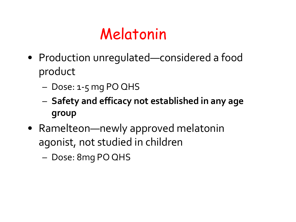### Melatonin

- Production unregulated—considered a food product
	- Dose: 1-5 mg PO QHS
	- **Safety and efficacy not established in any age group**
- Ramelteon—newly approved melatonin agonist, not studied in children
	- Dose: 8mg PO QHS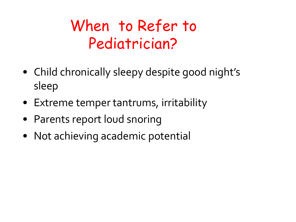## When to Refer to Pediatrician?

- Child chronically sleepy despite good night's sleep
- Extreme temper tantrums, irritability
- Parents report loud snoring
- Not achieving academic potential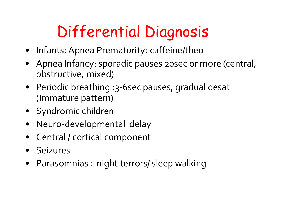# Differential Diagnosis

- Infants: Apnea Prematurity: caffeine/theo
- Apnea Infancy: sporadic pauses 20sec or more (central, obstructive, mixed)
- Periodic breathing :3-6sec pauses, gradual desat (Immature pattern)
- Syndromic children
- Neuro-developmental delay
- Central / cortical component
- Seizures
- Parasomnias : night terrors/ sleep walking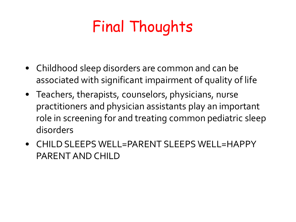# Final Thoughts

- Childhood sleep disorders are common and can be associated with significant impairment of quality of life
- Teachers, therapists, counselors, physicians, nurse practitioners and physician assistants play an important role in screening for and treating common pediatric sleep disorders
- CHILD SLEEPS WELL=PARENT SLEEPS WELL=HAPPY PARENT AND CHILD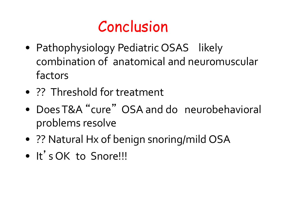#### Conclusion

- Pathophysiology Pediatric OSAS likely combination of anatomical and neuromuscular factors
- ?? Threshold for treatment
- DoesT&A " cure " OSA and do neurobehavioral problems resolve
- ?? Natural Hx of benign snoring/mild OSA
- It' s OK to Snore!!!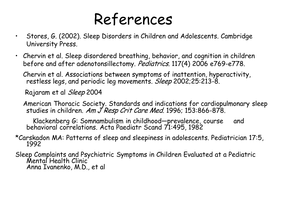#### References

- Stores, G. (2002). Sleep Disorders in Children and Adolescents. Cambridge University Press.
- Chervin et al. Sleep disordered breathing, behavior, and cognition in children before and after adenotonsillectomy. Pediatrics. 117(4) 2006 e769-e778.

Chervin et al. Associations between symptoms of inattention, hyperactivity, restless legs, and periodic leg movements. *Sleep* 2002;25:213-8.

Rajaram et al Sleep 2004

American Thoracic Society. Standards and indications for cardiopulmonary sleep studies in children. Am J Resp Crit Care Med. 1996; 153:866-878.

Klackenberg G: Somnambulism in childhood—prevalence, course and behavioral correlations. Acta Paediatr Scand 71:495, 1982

\*Carskadon MA: Patterns of sleep and sleepiness in adolescents. Pediatrician 17:5, <sup>1992</sup>

Sleep Complaints and Psychiatric Symptoms in Children Evaluated at a Pediatric Mental Health Clinic Anna Ivanenko, M.D., et al